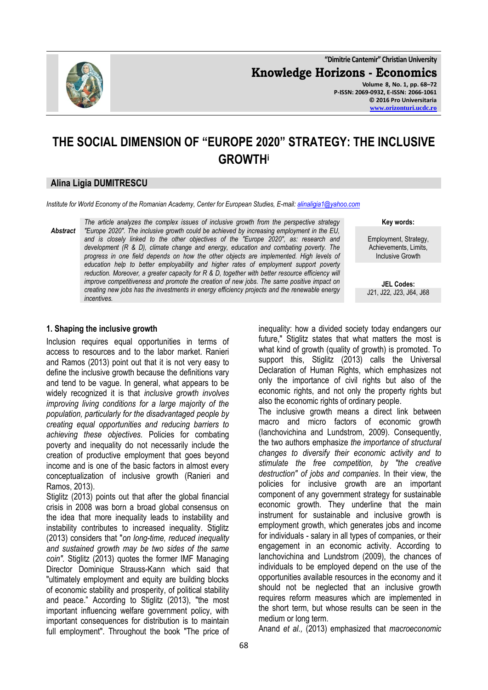

**"Dimitrie Cantemir" Christian University Knowledge Horizons - Economics Volume 8, No. 1, pp. 68–72 P-ISSN: 2069-0932, E-ISSN: 2066-1061 © 2016 Pro Universitaria**

**[www.orizonturi.ucdc.ro](http://www.orizonturi.ucdc.ro/)**

# **THE SOCIAL DIMENSION OF "EUROPE 2020" STRATEGY: THE INCLUSIVE GROWTH<sup>i</sup>**

## **Alina Ligia DUMITRESCU**

*Institute for World Economy of the Romanian Academy, Center for European Studies, E-mail[: alinaligia1@yahoo.com](mailto:alinaligia1@yahoo.com)* 

*Abstract The article analyzes the complex issues of inclusive growth from the perspective strategy "Europe 2020". The inclusive growth could be achieved by increasing employment in the EU, and is closely linked to the other objectives of the "Europe 2020", as: research and development (R & D), climate change and energy, education and combating poverty. The progress in one field depends on how the other objects are implemented. High levels of education help to better employability and higher rates of employment support poverty reduction. Moreover, a greater capacity for R & D, together with better resource efficiency will improve competitiveness and promote the creation of new jobs. The same positive impact on creating new jobs has the investments in energy efficiency projects and the renewable energy incentives.*

**Key words:**

Employment, Strategy, Achievements, Limits, Inclusive Growth

**JEL Codes:** J21, J22, J23, J64, J68

## **1. Shaping the inclusive growth**

Inclusion requires equal opportunities in terms of access to resources and to the labor market. Ranieri and Ramos (2013) point out that it is not very easy to define the inclusive growth because the definitions vary and tend to be vague. In general, what appears to be widely recognized it is that *inclusive growth involves improving living conditions for a large majority of the population, particularly for the disadvantaged people by creating equal opportunities and reducing barriers to achieving these objectives.* Policies for combating poverty and inequality do not necessarily include the creation of productive employment that goes beyond income and is one of the basic factors in almost every conceptualization of inclusive growth (Ranieri and Ramos, 2013).

Stiglitz (2013) points out that after the global financial crisis in 2008 was born a broad global consensus on the idea that more inequality leads to instability and instability contributes to increased inequality. Stiglitz (2013) considers that "*on long-time, reduced inequality and sustained growth may be two sides of the same coin".* Stiglitz (2013) quotes the former IMF Managing Director Dominique Strauss-Kann which said that "ultimately employment and equity are building blocks of economic stability and prosperity, of political stability and peace." According to Stiglitz (2013), "the most important influencing welfare government policy, with important consequences for distribution is to maintain full employment". Throughout the book "The price of future," Stiglitz states that what matters the most is what kind of growth (quality of growth) is promoted. To support this, Stiglitz (2013) calls the Universal Declaration of Human Rights, which emphasizes not only the importance of civil rights but also of the economic rights, and not only the property rights but also the economic rights of ordinary people. The inclusive growth means a direct link between

inequality: how a divided society today endangers our

macro and micro factors of economic growth (Ianchovichina and Lundstrom, 2009). Consequently, the two authors emphasize *the importance of structural changes to diversify their economic activity and to stimulate the free competition, by "the creative destruction" of jobs and companies*. In their view, the policies for inclusive growth are an important component of any government strategy for sustainable economic growth. They underline that the main instrument for sustainable and inclusive growth is employment growth, which generates jobs and income for individuals - salary in all types of companies, or their engagement in an economic activity. According to Ianchovichina and Lundstrom (2009), the chances of individuals to be employed depend on the use of the opportunities available resources in the economy and it should not be neglected that an inclusive growth requires reform measures which are implemented in the short term, but whose results can be seen in the medium or long term.

Anand *et al.,* (2013) emphasized that *macroeconomic*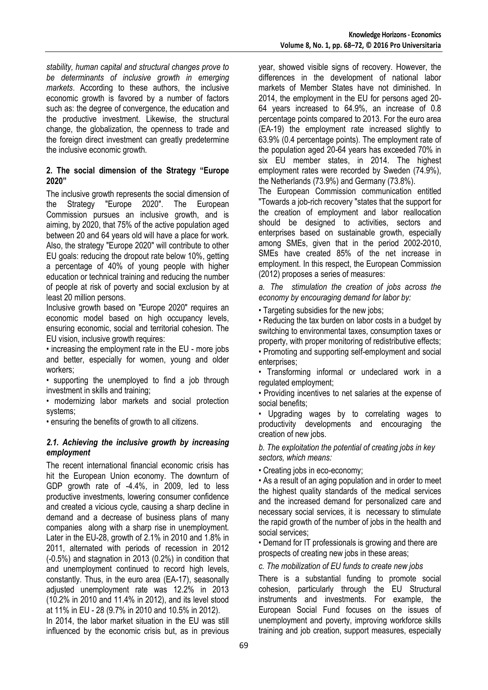*stability, human capital and structural changes prove to be determinants of inclusive growth in emerging markets*. According to these authors, the inclusive economic growth is favored by a number of factors such as: the degree of convergence, the education and the productive investment. Likewise, the structural change, the globalization, the openness to trade and the foreign direct investment can greatly predetermine the inclusive economic growth.

## **2. The social dimension of the Strategy "Europe 2020"**

The inclusive growth represents the social dimension of the Strategy "Europe 2020". The European Commission pursues an inclusive growth, and is aiming, by 2020, that 75% of the active population aged between 20 and 64 years old will have a place for work. Also, the strategy "Europe 2020" will contribute to other EU goals: reducing the dropout rate below 10%, getting a percentage of 40% of young people with higher education or technical training and reducing the number of people at risk of poverty and social exclusion by at least 20 million persons.

Inclusive growth based on "Europe 2020" requires an economic model based on high occupancy levels, ensuring economic, social and territorial cohesion. The EU vision, inclusive growth requires:

• increasing the employment rate in the EU - more jobs and better, especially for women, young and older workers;

• supporting the unemployed to find a job through investment in skills and training;

• modernizing labor markets and social protection systems;

• ensuring the benefits of growth to all citizens.

#### *2.1. Achieving the inclusive growth by increasing employment*

The recent international financial economic crisis has hit the European Union economy. The downturn of GDP growth rate of -4.4%, in 2009, led to less productive investments, lowering consumer confidence and created a vicious cycle, causing a sharp decline in demand and a decrease of business plans of many companies along with a sharp rise in unemployment. Later in the EU-28, growth of 2.1% in 2010 and 1.8% in 2011, alternated with periods of recession in 2012 (-0.5%) and stagnation in 2013 (0.2%) in condition that and unemployment continued to record high levels, constantly. Thus, in the euro area (EA-17), seasonally adjusted unemployment rate was 12.2% in 2013 (10.2% in 2010 and 11.4% in 2012), and its level stood at 11% in EU - 28 (9.7% in 2010 and 10.5% in 2012).

In 2014, the labor market situation in the EU was still influenced by the economic crisis but, as in previous year, showed visible signs of recovery. However, the differences in the development of national labor markets of Member States have not diminished. In 2014, the employment in the EU for persons aged 20- 64 years increased to 64.9%, an increase of 0.8 percentage points compared to 2013. For the euro area (EA-19) the employment rate increased slightly to 63.9% (0.4 percentage points). The employment rate of the population aged 20-64 years has exceeded 70% in six EU member states, in 2014. The highest employment rates were recorded by Sweden (74.9%), the Netherlands (73.9%) and Germany (73.8%).

The European Commission communication entitled "Towards a job-rich recovery "states that the support for the creation of employment and labor reallocation should be designed to activities, sectors and enterprises based on sustainable growth, especially among SMEs, given that in the period 2002-2010, SMEs have created 85% of the net increase in employment. In this respect, the European Commission (2012) proposes a series of measures:

*a. The stimulation the creation of jobs across the economy by encouraging demand for labor by:*

• Targeting subsidies for the new jobs:

• Reducing the tax burden on labor costs in a budget by switching to environmental taxes, consumption taxes or property, with proper monitoring of redistributive effects;

• Promoting and supporting self-employment and social enterprises;

• Transforming informal or undeclared work in a regulated employment;

• Providing incentives to net salaries at the expense of social benefits;

Upgrading wages by to correlating wages to productivity developments and encouraging the creation of new jobs.

*b. The exploitation the potential of creating jobs in key sectors, which means:*

• Creating jobs in eco-economy;

• As a result of an aging population and in order to meet the highest quality standards of the medical services and the increased demand for personalized care and necessary social services, it is necessary to stimulate the rapid growth of the number of jobs in the health and social services;

• Demand for IT professionals is growing and there are prospects of creating new jobs in these areas;

*c. The mobilization of EU funds to create new jobs*

There is a substantial funding to promote social cohesion, particularly through the EU Structural instruments and investments. For example, the European Social Fund focuses on the issues of unemployment and poverty, improving workforce skills training and job creation, support measures, especially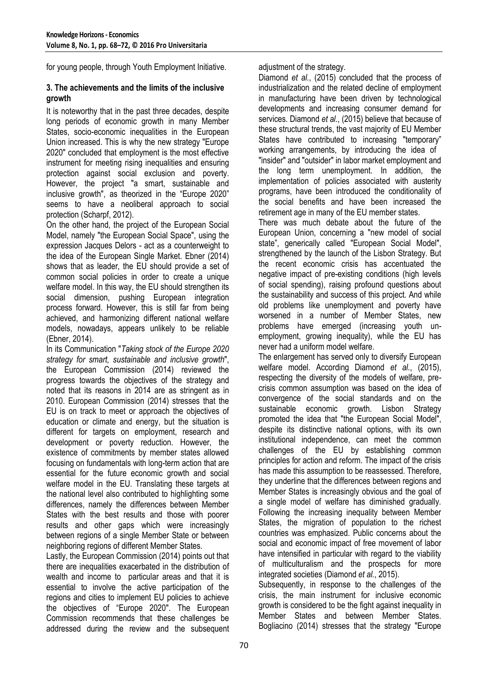for young people, through Youth Employment Initiative.

#### **3. The achievements and the limits of the inclusive growth**

It is noteworthy that in the past three decades, despite long periods of economic growth in many Member States, socio-economic inequalities in the European Union increased. This is why the new strategy "Europe 2020" concluded that employment is the most effective instrument for meeting rising inequalities and ensuring protection against social exclusion and poverty. However, the project "a smart, sustainable and inclusive growth", as theorized in the "Europe 2020" seems to have a neoliberal approach to social protection (Scharpf, 2012).

On the other hand, the project of the European Social Model, namely "the European Social Space", using the expression Jacques Delors - act as a counterweight to the idea of the European Single Market. Ebner (2014) shows that as leader, the EU should provide a set of common social policies in order to create a unique welfare model. In this way, the EU should strengthen its social dimension, pushing European integration process forward. However, this is still far from being achieved, and harmonizing different national welfare models, nowadays, appears unlikely to be reliable (Ebner, 2014).

In its Communication "*Taking stock of the Europe 2020 strategy for smart, sustainable and inclusive growth*", the European Commission (2014) reviewed the progress towards the objectives of the strategy and noted that its reasons in 2014 are as stringent as in 2010. European Commission (2014) stresses that the EU is on track to meet or approach the objectives of education or climate and energy, but the situation is different for targets on employment, research and development or poverty reduction. However, the existence of commitments by member states allowed focusing on fundamentals with long-term action that are essential for the future economic growth and social welfare model in the EU. Translating these targets at the national level also contributed to highlighting some differences, namely the differences between Member States with the best results and those with poorer results and other gaps which were increasingly between regions of a single Member State or between neighboring regions of different Member States.

Lastly, the European Commission (2014) points out that there are inequalities exacerbated in the distribution of wealth and income to particular areas and that it is essential to involve the active participation of the regions and cities to implement EU policies to achieve the objectives of "Europe 2020". The European Commission recommends that these challenges be addressed during the review and the subsequent adjustment of the strategy.

Diamond *et al.*, (2015) concluded that the process of industrialization and the related decline of employment in manufacturing have been driven by technological developments and increasing consumer demand for services. Diamond *et al*., (2015) believe that because of these structural trends, the vast majority of EU Member States have contributed to increasing "temporary" working arrangements, by introducing the idea of "insider" and "outsider" in labor market employment and the long term unemployment. In addition, the implementation of policies associated with austerity programs, have been introduced the conditionality of the social benefits and have been increased the retirement age in many of the EU member states.

There was much debate about the future of the European Union, concerning a "new model of social state", generically called "European Social Model", strengthened by the launch of the Lisbon Strategy. But the recent economic crisis has accentuated the negative impact of pre-existing conditions (high levels of social spending), raising profound questions about the sustainability and success of this project. And while old problems like unemployment and poverty have worsened in a number of Member States, new problems have emerged (increasing youth unemployment, growing inequality), while the EU has never had a uniform model welfare.

The enlargement has served only to diversify European welfare model. According Diamond *et al.*, (2015), respecting the diversity of the models of welfare, precrisis common assumption was based on the idea of convergence of the social standards and on the sustainable economic growth. Lisbon Strategy promoted the idea that "the European Social Model", despite its distinctive national options, with its own institutional independence, can meet the common challenges of the EU by establishing common principles for action and reform. The impact of the crisis has made this assumption to be reassessed. Therefore, they underline that the differences between regions and Member States is increasingly obvious and the goal of a single model of welfare has diminished gradually. Following the increasing inequality between Member States, the migration of population to the richest countries was emphasized. Public concerns about the social and economic impact of free movement of labor have intensified in particular with regard to the viability of multiculturalism and the prospects for more integrated societies (Diamond *et al.*, 2015).

Subsequently, in response to the challenges of the crisis, the main instrument for inclusive economic growth is considered to be the fight against inequality in Member States and between Member States. Bogliacino (2014) stresses that the strategy "Europe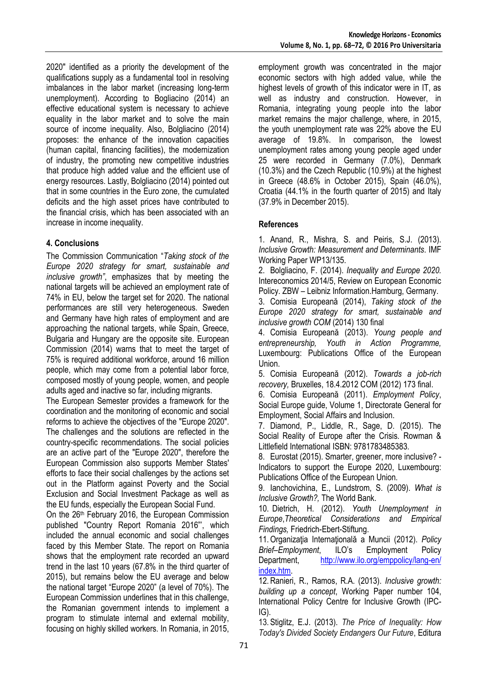2020" identified as a priority the development of the qualifications supply as a fundamental tool in resolving imbalances in the labor market (increasing long-term unemployment). According to Bogliacino (2014) an effective educational system is necessary to achieve equality in the labor market and to solve the main source of income inequality. Also, Bolgliacino (2014) proposes: the enhance of the innovation capacities (human capital, financing facilities), the modernization of industry, the promoting new competitive industries that produce high added value and the efficient use of energy resources. Lastly, Bolgliacino (2014) pointed out that in some countries in the Euro zone, the cumulated deficits and the high asset prices have contributed to the financial crisis, which has been associated with an increase in income inequality.

## **4. Conclusions**

The Commission Communication "*Taking stock of the Europe 2020 strategy for smart, sustainable and inclusive growth"*, emphasizes that by meeting the national targets will be achieved an employment rate of 74% in EU, below the target set for 2020. The national performances are still very heterogeneous. Sweden and Germany have high rates of employment and are approaching the national targets, while Spain, Greece, Bulgaria and Hungary are the opposite site. European Commission (2014) warns that to meet the target of 75% is required additional workforce, around 16 million people, which may come from a potential labor force, composed mostly of young people, women, and people adults aged and inactive so far, including migrants.

The European Semester provides a framework for the coordination and the monitoring of economic and social reforms to achieve the objectives of the "Europe 2020". The challenges and the solutions are reflected in the country-specific recommendations. The social policies are an active part of the "Europe 2020", therefore the European Commission also supports Member States' efforts to face their social challenges by the actions set out in the Platform against Poverty and the Social Exclusion and Social Investment Package as well as the EU funds, especially the European Social Fund.

On the 26th February 2016, the European Commission published "Country Report Romania 2016"', which included the annual economic and social challenges faced by this Member State. The report on Romania shows that the employment rate recorded an upward trend in the last 10 years (67.8% in the third quarter of 2015), but remains below the EU average and below the national target "Europe 2020" (a level of 70%). The European Commission underlines that in this challenge, the Romanian government intends to implement a program to stimulate internal and external mobility, focusing on highly skilled workers. In Romania, in 2015,

employment growth was concentrated in the major economic sectors with high added value, while the highest levels of growth of this indicator were in IT, as well as industry and construction. However, in Romania, integrating young people into the labor market remains the major challenge, where, in 2015, the youth unemployment rate was 22% above the EU average of 19.8%. In comparison, the lowest unemployment rates among young people aged under 25 were recorded in Germany (7.0%), Denmark (10.3%) and the Czech Republic (10.9%) at the highest in Greece (48.6% in October 2015), Spain (46.0%), Croatia (44.1% in the fourth quarter of 2015) and Italy (37.9% in December 2015).

## **References**

1. Anand, R., Mishra, S. and Peiris, S.J. (2013). *Inclusive Growth: Measurement and Determinants*. IMF Working Paper WP13/135.

2. Bolgliacino, F. (2014). *Inequality and Europe 2020.* Intereconomics 2014/5, Review on European Economic Policy. ZBW – Leibniz Information.Hamburg, Germany.

3. Comisia Europeană (2014), *Taking stock of the Europe 2020 strategy for smart, sustainable and inclusive growth COM* (2014) 130 final

4. Comisia Europeană (2013). *Young people and entrepreneurship, Youth in Action Programme,* Luxembourg: Publications Office of the European Union.

5. Comisia Europeană (2012). *Towards a job-rich recovery,* Bruxelles, 18.4.2012 COM (2012) 173 final.

6. Comisia Europeană (2011). *Employment Policy*, Social Europe guide, Volume 1, Directorate General for Employment, Social Affairs and Inclusion.

7. Diamond, P., Liddle, R., Sage, D. (2015). The Social Reality of Europe after the Crisis. [Rowman &](http://http/www.rowmaninternational.com/)  [Littlefield International](http://http/www.rowmaninternational.com/) ISBN: 9781783485383.

8. Eurostat (2015). Smarter, greener, more inclusive? - Indicators to support the Europe 2020, Luxembourg: Publications Office of the European Union.

9. Ianchovichina, E., Lundstrom, S. (2009). *[What is](http://siteresources.worldbank.org/INTDEBTDEPT/Resources/468980-1218567884549/WhatIsInclusiveGrowth20081230.pdf)  [Inclusive Growth?,](http://siteresources.worldbank.org/INTDEBTDEPT/Resources/468980-1218567884549/WhatIsInclusiveGrowth20081230.pdf)* The World Bank.

10. Dietrich, H. (2012). *Youth Unemployment in Europe*,*Theoretical Considerations and Empirical Findings,* Friedrich-Ebert-Stiftung.

11.Organizaţia Internaţională a Muncii (2012). *Policy Brief–Employment*, ILO's Employment Policy Department, [http://www.ilo.org/emppolicy/lang-en/](http://www.ilo.org/emppolicy/lang-en/%20index.htm)  [index.htm.](http://www.ilo.org/emppolicy/lang-en/%20index.htm)

12.Ranieri, R., Ramos, R.A. (2013). *Inclusive growth: building up a concept*, Working Paper number 104, International Policy Centre for Inclusive Growth (IPC-IG).

13. Stiglitz, E.J. (2013). *The Price of Inequality: How Today's Divided Society Endangers Our Future*, Editura